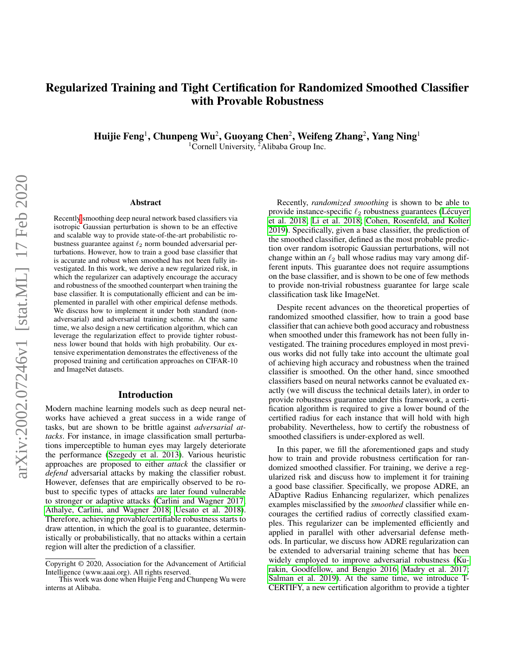# Regularized Training and Tight Certification for Randomized Smoothed Classifier with Provable Robustness

Huijie Feng<sup>1</sup>, Chunpeng Wu<sup>2</sup>, Guoyang Chen<sup>2</sup>, Weifeng Zhang<sup>2</sup>, Yang Ning<sup>1</sup> <sup>1</sup>Cornell University, <sup>2</sup>Alibaba Group Inc.

#### Abstract

Recentl[y](#page-0-0) smoothing deep neural network based classifiers via isotropic Gaussian perturbation is shown to be an effective and scalable way to provide state-of-the-art probabilistic robustness guarantee against  $\ell_2$  norm bounded adversarial perturbations. However, how to train a good base classifier that is accurate and robust when smoothed has not been fully investigated. In this work, we derive a new regularized risk, in which the regularizer can adaptively encourage the accuracy and robustness of the smoothed counterpart when training the base classifier. It is computationally efficient and can be implemented in parallel with other empirical defense methods. We discuss how to implement it under both standard (nonadversarial) and adversarial training scheme. At the same time, we also design a new certification algorithm, which can leverage the regularization effect to provide tighter robustness lower bound that holds with high probability. Our extensive experimentation demonstrates the effectiveness of the proposed training and certification approaches on CIFAR-10 and ImageNet datasets.

#### Introduction

Modern machine learning models such as deep neural networks have achieved a great success in a wide range of tasks, but are shown to be brittle against *adversarial attacks*. For instance, in image classification small perturbations imperceptible to human eyes may largely deteriorate the performance [\(Szegedy et al. 2013\)](#page-7-0). Various heuristic approaches are proposed to either *attack* the classifier or *defend* adversarial attacks by making the classifier robust. However, defenses that are empirically observed to be robust to specific types of attacks are later found vulnerable to stronger or adaptive attacks [\(Carlini and Wagner 2017;](#page-7-1) [Athalye, Carlini, and Wagner 2018;](#page-7-2) [Uesato et al. 2018\)](#page-8-0). Therefore, achieving provable/certifiable robustness starts to draw attention, in which the goal is to guarantee, deterministically or probabilistically, that no attacks within a certain region will alter the prediction of a classifier.

Recently, *randomized smoothing* is shown to be able to provide instance-specific  $\ell_2$  robustness guarantees (Lécuyer [et al. 2018;](#page-7-3) [Li et al. 2018;](#page-7-4) [Cohen, Rosenfeld, and Kolter](#page-7-5) [2019\)](#page-7-5). Specifically, given a base classifier, the prediction of the smoothed classifier, defined as the most probable prediction over random isotropic Gaussian perturbations, will not change within an  $\ell_2$  ball whose radius may vary among different inputs. This guarantee does not require assumptions on the base classifier, and is shown to be one of few methods to provide non-trivial robustness guarantee for large scale classification task like ImageNet.

Despite recent advances on the theoretical properties of randomized smoothed classifier, how to train a good base classifier that can achieve both good accuracy and robustness when smoothed under this framework has not been fully investigated. The training procedures employed in most previous works did not fully take into account the ultimate goal of achieving high accuracy and robustness when the trained classifier is smoothed. On the other hand, since smoothed classifiers based on neural networks cannot be evaluated exactly (we will discuss the technical details later), in order to provide robustness guarantee under this framework, a certification algorithm is required to give a lower bound of the certified radius for each instance that will hold with high probability. Nevertheless, how to certify the robustness of smoothed classifiers is under-explored as well.

In this paper, we fill the aforementioned gaps and study how to train and provide robustness certification for randomized smoothed classifier. For training, we derive a regularized risk and discuss how to implement it for training a good base classifier. Specifically, we propose ADRE, an ADaptive Radius Enhancing regularizer, which penalizes examples misclassified by the *smoothed* classifier while encourages the certified radius of correctly classified examples. This regularizer can be implemented efficiently and applied in parallel with other adversarial defense methods. In particular, we discuss how ADRE regularization can be extended to adversarial training scheme that has been widely employed to improve adversarial robustness [\(Ku](#page-7-6)[rakin, Goodfellow, and Bengio 2016;](#page-7-6) [Madry et al. 2017;](#page-7-7) [Salman et al. 2019\)](#page-7-8). At the same time, we introduce T-CERTIFY, a new certification algorithm to provide a tighter

Copyright © 2020, Association for the Advancement of Artificial Intelligence (www.aaai.org). All rights reserved.

<span id="page-0-0"></span>This work was done when Huijie Feng and Chunpeng Wu were interns at Alibaba.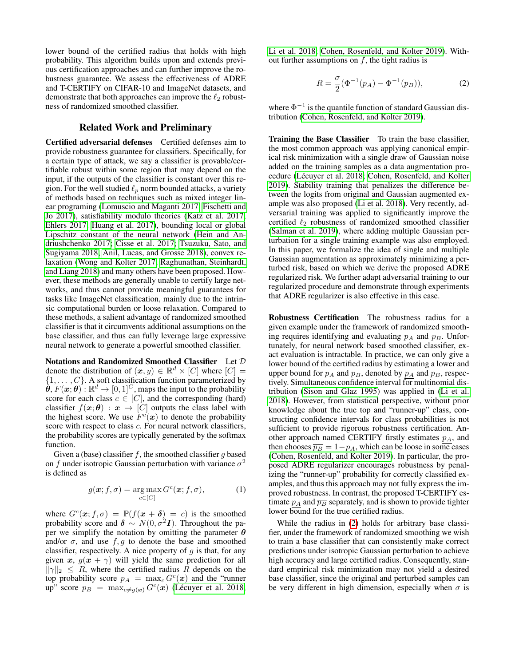lower bound of the certified radius that holds with high probability. This algorithm builds upon and extends previous certification approaches and can further improve the robustness guarantee. We assess the effectiveness of ADRE and T-CERTIFY on CIFAR-10 and ImageNet datasets, and demonstrate that both approaches can improve the  $\ell_2$  robustness of randomized smoothed classifier.

## Related Work and Preliminary

Certified adversarial defenses Certified defenses aim to provide robustness guarantee for classifiers. Specifically, for a certain type of attack, we say a classifier is provable/certifiable robust within some region that may depend on the input, if the outputs of the classifier is constant over this region. For the well studied  $\ell_p$  norm bounded attacks, a variety of methods based on techniques such as mixed integer linear programing [\(Lomuscio and Maganti 2017;](#page-7-9) [Fischetti and](#page-7-10) [Jo 2017\)](#page-7-10), satisfiability modulo theories [\(Katz et al. 2017;](#page-7-11) [Ehlers 2017;](#page-7-12) [Huang et al. 2017\)](#page-7-13), bounding local or global Lipschitz constant of the neural network [\(Hein and An](#page-7-14)[driushchenko 2017;](#page-7-14) [Cisse et al. 2017;](#page-7-15) [Tsuzuku, Sato, and](#page-7-16) [Sugiyama 2018;](#page-7-16) [Anil, Lucas, and Grosse 2018\)](#page-7-17), convex relaxation [\(Wong and Kolter 2017;](#page-8-1) [Raghunathan, Steinhardt,](#page-7-18) [and Liang 2018\)](#page-7-18) and many others have been proposed. However, these methods are generally unable to certify large networks, and thus cannot provide meaningful guarantees for tasks like ImageNet classification, mainly due to the intrinsic computational burden or loose relaxation. Compared to these methods, a salient advantage of randomized smoothed classifier is that it circumvents additional assumptions on the base classifier, and thus can fully leverage large expressive neural network to generate a powerful smoothed classifier.

Notations and Randomized Smoothed Classifier Let D denote the distribution of  $(x, y) \in \mathbb{R}^d \times [C]$  where  $[C] =$  $\{1, \ldots, C\}$ . A soft classification function parameterized by  $\hat{\theta}$ ,  $F(\mathbf{x}; \theta)$ :  $\mathbb{R}^d \to [0, 1]^C$ , maps the input to the probability score for each class  $c \in [C]$ , and the corresponding (hard) classifier  $f(\mathbf{x}; \theta) : \mathbf{x} \to [C]$  outputs the class label with the highest score. We use  $F^c(x)$  to denote the probability score with respect to class *c*. For neural network classifiers, the probability scores are typically generated by the softmax function.

Given a (base) classifier f, the smoothed classifier q based on f under isotropic Gaussian perturbation with variance  $\sigma^2$ is defined as

$$
g(\boldsymbol{x}; f, \sigma) = \underset{c \in [C]}{\arg \max} G^c(\boldsymbol{x}; f, \sigma), \tag{1}
$$

where  $G<sup>c</sup>(x; f, \sigma) = \mathbb{P}(f(x + \delta) = c)$  is the smoothed probability score and  $\delta \sim N(0, \sigma^2 I)$ . Throughout the paper we simplify the notation by omitting the parameter  $\theta$ and/or  $\sigma$ , and use  $f, g$  to denote the base and smoothed classifier, respectively. A nice property of  $g$  is that, for any given x,  $g(x + \gamma)$  will yield the same prediction for all  $\|\gamma\|_2 \leq R$ , where the certified radius R depends on the top probability score  $p_A = \max_c G^c(\boldsymbol{x})$  and the "runner" up" score  $p_B = \max_{c \neq g(x)} G^c(x)$  (Lécuyer et al. 2018;

[Li et al. 2018;](#page-7-4) [Cohen, Rosenfeld, and Kolter 2019\)](#page-7-5). Without further assumptions on  $f$ , the tight radius is

<span id="page-1-0"></span>
$$
R = \frac{\sigma}{2} (\Phi^{-1}(p_A) - \Phi^{-1}(p_B)),
$$
 (2)

where  $\Phi^{-1}$  is the quantile function of standard Gaussian distribution [\(Cohen, Rosenfeld, and Kolter 2019\)](#page-7-5).

Training the Base Classifier To train the base classifier, the most common approach was applying canonical empirical risk minimization with a single draw of Gaussian noise added on the training samples as a data augmentation pro-cedure (Lécuyer et al. 2018; [Cohen, Rosenfeld, and Kolter](#page-7-5) [2019\)](#page-7-5). Stability training that penalizes the difference between the logits from original and Gaussian augmented example was also proposed [\(Li et al. 2018\)](#page-7-4). Very recently, adversarial training was applied to significantly improve the certified  $\ell_2$  robustness of randomized smoothed classifier [\(Salman et al. 2019\)](#page-7-8), where adding multiple Gaussian perturbation for a single training example was also employed. In this paper, we formalize the idea of single and multiple Gaussian augmentation as approximately minimizing a perturbed risk, based on which we derive the proposed ADRE regularized risk. We further adapt adversarial training to our regularized procedure and demonstrate through experiments that ADRE regularizer is also effective in this case.

Robustness Certification The robustness radius for a given example under the framework of randomized smoothing requires identifying and evaluating  $p_A$  and  $p_B$ . Unfortunately, for neural network based smoothed classifier, exact evaluation is intractable. In practice, we can only give a lower bound of the certified radius by estimating a lower and upper bound for  $p_A$  and  $p_B$ , denoted by  $p_A$  and  $\overline{p_B}$ , respectively. Simultaneous confidence interval for multinomial distribution [\(Sison and Glaz 1995\)](#page-7-19) was applied in [\(Li et al.](#page-7-4) [2018\)](#page-7-4). However, from statistical perspective, without prior knowledge about the true top and "runner-up" class, constructing confidence intervals for class probabilities is not sufficient to provide rigorous robustness certification. Another approach named CERTIFY firstly estimates  $p_A$ , and then chooses  $\overline{p_B} = 1-p_A$ , which can be loose in some cases [\(Cohen, Rosenfeld, and Kolter 2019\)](#page-7-5). In particular, the proposed ADRE regularizer encourages robustness by penalizing the "runner-up" probability for correctly classified examples, and thus this approach may not fully express the improved robustness. In contrast, the proposed T-CERTIFY estimate  $p_A$  and  $\overline{p_B}$  separately, and is shown to provide tighter lower bound for the true certified radius.

While the radius in [\(2\)](#page-1-0) holds for arbitrary base classifier, under the framework of randomized smoothing we wish to train a base classifier that can consistently make correct predictions under isotropic Gaussian perturbation to achieve high accuracy and large certified radius. Consequently, standard empirical risk minimization may not yield a desired base classifier, since the original and perturbed samples can be very different in high dimension, especially when  $\sigma$  is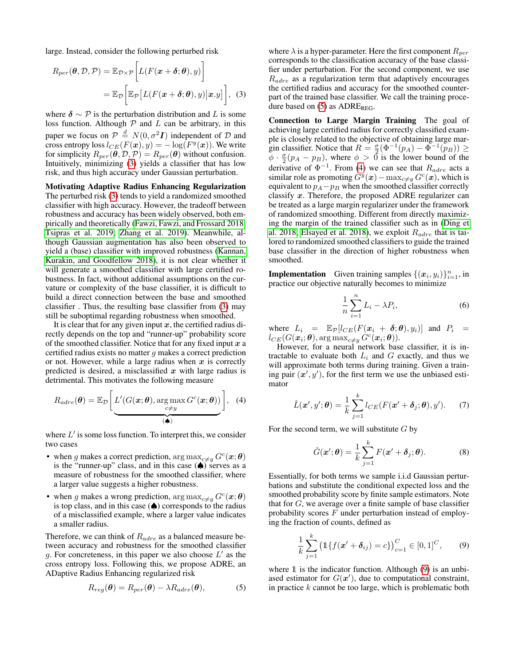large. Instead, consider the following perturbed risk

$$
R_{per}(\boldsymbol{\theta}, \mathcal{D}, \mathcal{P}) = \mathbb{E}_{\mathcal{D}\times\mathcal{P}} \bigg[ L(F(\boldsymbol{x} + \boldsymbol{\delta}; \boldsymbol{\theta}), y) \bigg] = \mathbb{E}_{\mathcal{D}} \bigg[ \mathbb{E}_{\mathcal{P}} \big[ L(F(\boldsymbol{x} + \boldsymbol{\delta}; \boldsymbol{\theta}), y) \big| \boldsymbol{x}.y \big] \bigg], \quad (3)
$$

<span id="page-2-0"></span>where  $\delta \sim \mathcal{P}$  is the perturbation distribution and L is some loss function. Although  $P$  and  $L$  can be arbitrary, in this paper we focus on  $P \stackrel{d}{=} N(0, \sigma^2 I)$  independent of  $D$  and cross entropy loss  $l_{CE}(F(\boldsymbol{x}), y) = -\log(F^y(\boldsymbol{x})).$  We write for simplicity  $R_{per}(\vec{\theta}, \mathcal{D}, \mathcal{P}) = R_{per}(\vec{\theta})$  without confusion. Intuitively, minimizing [\(3\)](#page-2-0) yields a classifier that has low risk, and thus high accuracy under Gaussian perturbation.

Motivating Adaptive Radius Enhancing Regularization The perturbed risk [\(3\)](#page-2-0) tends to yield a randomized smoothed classifier with high accuracy. However, the tradeoff between robustness and accuracy has been widely observed, both empirically and theoretically [\(Fawzi, Fawzi, and Frossard 2018;](#page-7-20) [Tsipras et al. 2019;](#page-7-21) [Zhang et al. 2019\)](#page-8-2). Meanwhile, although Gaussian augmentation has also been observed to yield a (base) classifier with improved robustness [\(Kannan,](#page-7-22) [Kurakin, and Goodfellow 2018\)](#page-7-22), it is not clear whether it will generate a smoothed classifier with large certified robustness. In fact, without additional assumptions on the curvature or complexity of the base classifier, it is difficult to build a direct connection between the base and smoothed classifier . Thus, the resulting base classifier from [\(3\)](#page-2-0) may still be suboptimal regarding robustness when smoothed.

It is clear that for any given input  $x$ , the certified radius directly depends on the top and "runner-up" probability score of the smoothed classifier. Notice that for any fixed input  $x$  a certified radius exists no matter  $q$  makes a correct prediction or not. However, while a large radius when  $x$  is correctly predicted is desired, a misclassified  $x$  with large radius is detrimental. This motivates the following measure

<span id="page-2-2"></span>
$$
R_{adre}(\boldsymbol{\theta}) = \mathbb{E}_{\mathcal{D}}\left[\underline{L'(G(\boldsymbol{x};\boldsymbol{\theta}), \argmax_{c \neq y} G^c(\boldsymbol{x};\boldsymbol{\theta}))}_{(\spadesuit)}\right], \quad (4)
$$

where  $L'$  is some loss function. To interpret this, we consider two cases

- when g makes a correct prediction,  $\arg \max_{c \neq y} G^c(\boldsymbol{x}; \boldsymbol{\theta})$ is the "runner-up" class, and in this case  $(\spadesuit)$  serves as a measure of robustness for the smoothed classifier, where a larger value suggests a higher robustness.
- when g makes a wrong prediction,  $\arg \max_{c \neq y} G^c(\mathbf{x}; \boldsymbol{\theta})$ is top class, and in this case  $(\spadesuit)$  corresponds to the radius of a misclassified example, where a larger value indicates a smaller radius.

Therefore, we can think of  $R_{adre}$  as a balanced measure between accuracy and robustness for the smoothed classifier g. For concreteness, in this paper we also choose  $L'$  as the cross entropy loss. Following this, we propose ADRE, an ADaptive Radius Enhancing regularized risk

<span id="page-2-1"></span>
$$
R_{reg}(\boldsymbol{\theta}) = R_{per}(\boldsymbol{\theta}) - \lambda R_{adre}(\boldsymbol{\theta}), \qquad (5)
$$

where  $\lambda$  is a hyper-parameter. Here the first component  $R_{per}$ corresponds to the classification accuracy of the base classifier under perturbation. For the second component, we use  $R_{adre}$  as a regularization term that adaptively encourages the certified radius and accuracy for the smoothed counterpart of the trained base classifier. We call the training procedure based on  $(5)$  as ADRE<sub>REG</sub>.

Connection to Large Margin Training The goal of achieving large certified radius for correctly classified example is closely related to the objective of obtaining large margin classifier. Notice that  $R = \frac{\sigma}{2}(\Phi^{-1}(p_A) - \Phi^{-1}(p_B)) \ge$  $\phi \cdot \frac{\sigma}{2}(p_A - p_B)$ , where  $\phi > 0$  is the lower bound of the derivative of  $\Phi^{-1}$ . From [\(4\)](#page-2-2) we can see that  $R_{adre}$  acts a similar role as promoting  $G^y(x) - \max_{c \neq y} G^c(x)$ , which is equivalent to  $p_A - p_B$  when the smoothed classifier correctly classify  $x$ . Therefore, the proposed ADRE regularizer can be treated as a large margin regularizer under the framework of randomized smoothing. Different from directly maximizing the margin of the trained classifier such as in [\(Ding et](#page-7-23) [al. 2018;](#page-7-23) [Elsayed et al. 2018\)](#page-7-24), we exploit  $R_{adre}$  that is tailored to randomized smoothed classifiers to guide the trained base classifier in the direction of higher robustness when smoothed.

**Implementation** Given training samples  $\{(\boldsymbol{x}_i, y_i)\}_{i=1}^n$ , in practice our objective naturally becomes to minimize

$$
\frac{1}{n}\sum_{i=1}^{n}L_{i}-\lambda P_{i},\qquad(6)
$$

where  $L_i = \mathbb{E}_{\mathcal{P}}[l_{CE}(F(\boldsymbol{x}_i + \boldsymbol{\delta}; \boldsymbol{\theta}), y_i)]$  and  $P_i =$  $l_{CE}(G(\boldsymbol{x}_i;\boldsymbol{\theta}), \argmax_{c\neq y} \hat{G}^c(\boldsymbol{x}_i;\boldsymbol{\theta})).$ 

However, for a neural network base classifier, it is intractable to evaluate both  $L_i$  and  $G$  exactly, and thus we will approximate both terms during training. Given a training pair  $(x', y')$ , for the first term we use the unbiased estimator

<span id="page-2-5"></span>
$$
\hat{L}(\boldsymbol{x}', y'; \boldsymbol{\theta}) = \frac{1}{k} \sum_{j=1}^{k} l_{CE}(F(\boldsymbol{x}' + \boldsymbol{\delta}_j; \boldsymbol{\theta}), y'). \tag{7}
$$

For the second term, we will substitute  $G$  by

<span id="page-2-4"></span>
$$
\hat{G}(\boldsymbol{x}';\boldsymbol{\theta}) = \frac{1}{k} \sum_{j=1}^{k} F(\boldsymbol{x}' + \boldsymbol{\delta}_j; \boldsymbol{\theta}).
$$
 (8)

Essentially, for both terms we sample i.i.d Gaussian perturbations and substitute the conditional expected loss and the smoothed probability score by finite sample estimators. Note that for  $G$ , we average over a finite sample of base classifier probability scores  $F$  under perturbation instead of employing the fraction of counts, defined as

<span id="page-2-3"></span>
$$
\frac{1}{k}\sum_{j=1}^{k} \left( \mathbb{1}\{f(\mathbf{x}' + \boldsymbol{\delta}_{ij}) = c\} \right)_{c=1}^{C} \in [0,1]^{C}, \qquad (9)
$$

where 1 is the indicator function. Although [\(9\)](#page-2-3) is an unbiased estimator for  $G(\mathbf{x}')$ , due to computational constraint, in practice  $k$  cannot be too large, which is problematic both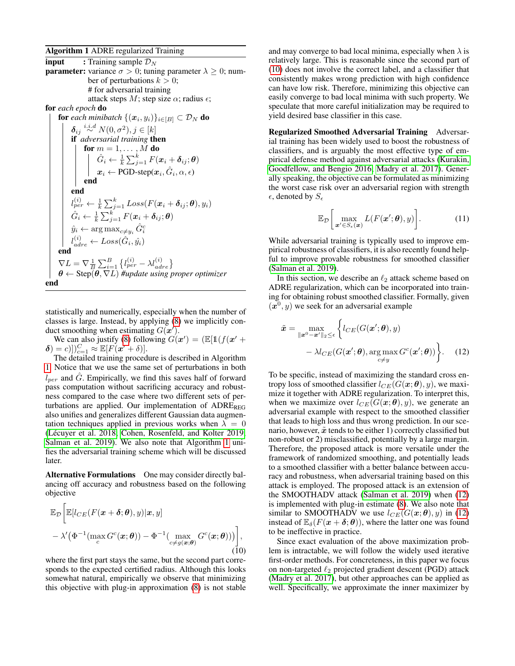#### <span id="page-3-0"></span>Algorithm 1 ADRE regularized Training

**input** : Training sample  $\mathcal{D}_N$ **parameter:** variance  $\sigma > 0$ ; tuning parameter  $\lambda \geq 0$ ; number of perturbations  $k > 0$ ; # for adversarial training attack steps M; step size  $\alpha$ ; radius  $\epsilon$ ; for *each epoch* do for each minibatch  $\{(\boldsymbol{x}_i, y_i)\}_{i\in[B]}\subset \mathcal{D}_N$  do  $\boldsymbol{\delta}_{ij} \stackrel{i.i.d}{\sim} N(0,\sigma^2), j \in [k]$ if *adversarial training* then for  $m=1,\ldots\,,M$  do  $\hat{G}_i \leftarrow \frac{1}{k}\sum_{j=1}^k F(\boldsymbol{x}_i+\boldsymbol{\delta}_{ij};\boldsymbol{\theta})$  $\boldsymbol{x}_i \leftarrow \text{PGD-step}(\boldsymbol{x}_i, \hat{G}_i, \alpha, \epsilon)$ | end end  $l_{per}^{(i)} \leftarrow \frac{1}{k}\sum_{j=1}^{k}Loss(F(\boldsymbol{x}_{i}+\boldsymbol{\delta}_{ij};\boldsymbol{\theta}),y_{i})$  $\hat{G}_i \leftarrow \frac{1}{k}\sum_{j=1}^k F(\boldsymbol{x}_i+\boldsymbol{\delta}_{ij};\boldsymbol{\theta})$  $\hat{y}_i \leftarrow \arg \max_{c \neq y_i} \hat{G}_i^c$  $l_{adre}^{(i)} \leftarrow Loss(\hat{G}_i, \hat{y}_i)$ end  $\nabla L = \nabla \frac{1}{B} \sum_{i=1}^{B} \left\{ l_{per}^{(i)} - \lambda l_{adre}^{(i)} \right\}$  $\boldsymbol{\theta} \leftarrow$  Step $(\boldsymbol{\theta}, \nabla L)$  #update using proper optimizer end

statistically and numerically, especially when the number of classes is large. Instead, by applying [\(8\)](#page-2-4) we implicitly conduct smoothing when estimating  $G(\boldsymbol{x}')$ .

We can also justify [\(8\)](#page-2-4) following  $G(\mathbf{x}') = (\mathbb{E}[\mathbb{1}(f(\mathbf{x}' +$  $\delta$ ) = c)]) $C_{c=1}^C \approx \mathbb{E}[F(x'+\delta)].$ 

The detailed training procedure is described in Algorithm [1.](#page-3-0) Notice that we use the same set of perturbations in both  $l_{per}$  and G. Empirically, we find this saves half of forward pass computation without sacrificing accuracy and robustness compared to the case where two different sets of perturbations are applied. Our implementation of  $\text{ADRE}_{\text{REG}}$ also unifies and generalizes different Gaussian data augmentation techniques applied in previous works when  $\lambda = 0$ (Lécuyer et al. 2018; [Cohen, Rosenfeld, and Kolter 2019;](#page-7-5) [Salman et al. 2019\)](#page-7-8). We also note that Algorithm [1](#page-3-0) unifies the adversarial training scheme which will be discussed later.

Alternative Formulations One may consider directly balancing off accuracy and robustness based on the following objective

<span id="page-3-1"></span>
$$
\mathbb{E}_{\mathcal{D}}\bigg[\mathbb{E}[l_{CE}(F(\boldsymbol{x}+\boldsymbol{\delta};\boldsymbol{\theta}),y)|\boldsymbol{x},y] - \lambda'(\Phi^{-1}(\max_{c} G^{c}(\boldsymbol{x};\boldsymbol{\theta})) - \Phi^{-1}(\max_{c\neq g(\boldsymbol{x};\boldsymbol{\theta})} G^{c}(\boldsymbol{x};\boldsymbol{\theta}))\bigg],\tag{10}
$$

where the first part stays the same, but the second part corresponds to the expected certified radius. Although this looks somewhat natural, empirically we observe that minimizing this objective with plug-in approximation [\(8\)](#page-2-4) is not stable and may converge to bad local minima, especially when  $\lambda$  is relatively large. This is reasonable since the second part of [\(10\)](#page-3-1) does not involve the correct label, and a classifier that consistently makes wrong prediction with high confidence can have low risk. Therefore, minimizing this objective can easily converge to bad local minima with such property. We speculate that more careful initialization may be required to yield desired base classifier in this case.

Regularized Smoothed Adversarial Training Adversarial training has been widely used to boost the robustness of classifiers, and is arguably the most effective type of empirical defense method against adversarial attacks [\(Kurakin,](#page-7-6) [Goodfellow, and Bengio 2016;](#page-7-6) [Madry et al. 2017\)](#page-7-7). Generally speaking, the objective can be formulated as minimizing the worst case risk over an adversarial region with strength  $\epsilon$ , denoted by  $S_{\epsilon}$ 

$$
\mathbb{E}_{\mathcal{D}}\bigg[\max_{\boldsymbol{x}'\in S_{\epsilon}(\boldsymbol{x})} L(F(\boldsymbol{x}';\boldsymbol{\theta}),y)\bigg].\tag{11}
$$

While adversarial training is typically used to improve empirical robustness of classifiers, it is also recently found helpful to improve provable robustness for smoothed classifier [\(Salman et al. 2019\)](#page-7-8).

In this section, we describe an  $\ell_2$  attack scheme based on ADRE regularization, which can be incorporated into training for obtaining robust smoothed classifier. Formally, given  $(x^0, y)$  we seek for an adversarial example

<span id="page-3-2"></span>
$$
\tilde{\boldsymbol{x}} = \max_{\|\boldsymbol{x}^0 - \boldsymbol{x}'\|_2 \leq \epsilon} \left\{ l_{CE}(G(\boldsymbol{x}'; \boldsymbol{\theta}), y) - \lambda l_{CE}(G(\boldsymbol{x}'; \boldsymbol{\theta}), \arg \max_{c \neq y} G^c(\boldsymbol{x}'; \boldsymbol{\theta})) \right\}.
$$
 (12)

To be specific, instead of maximizing the standard cross entropy loss of smoothed classifier  $l_{CE}(G(\boldsymbol{x}; \boldsymbol{\theta}), y)$ , we maximize it together with ADRE regularization. To interpret this, when we maximize over  $l_{CE}(G(\mathbf{x}; \theta), y)$ , we generate an adversarial example with respect to the smoothed classifier that leads to high loss and thus wrong prediction. In our scenario, however,  $\tilde{x}$  tends to be either 1) correctly classified but non-robust or 2) misclassified, potentially by a large margin. Therefore, the proposed attack is more versatile under the framework of randomized smoothing, and potentially leads to a smoothed classifier with a better balance between accuracy and robustness, when adversarial training based on this attack is employed. The proposed attack is an extension of the SMOOTHADV attack [\(Salman et al. 2019\)](#page-7-8) when [\(12\)](#page-3-2) is implemented with plug-in estimate [\(8\)](#page-2-4). We also note that similar to SMOOTHADV we use  $l_{CE}(G(\mathbf{x}; \theta), y)$  in [\(12\)](#page-3-2) instead of  $\mathbb{E}_{\delta}(F(\boldsymbol{x} + \boldsymbol{\delta}; \boldsymbol{\theta}))$ , where the latter one was found to be ineffective in practice.

Since exact evaluation of the above maximization problem is intractable, we will follow the widely used iterative first-order methods. For concreteness, in this paper we focus on non-targeted  $\ell_2$  projected gradient descent (PGD) attack [\(Madry et al. 2017\)](#page-7-7), but other approaches can be applied as well. Specifically, we approximate the inner maximizer by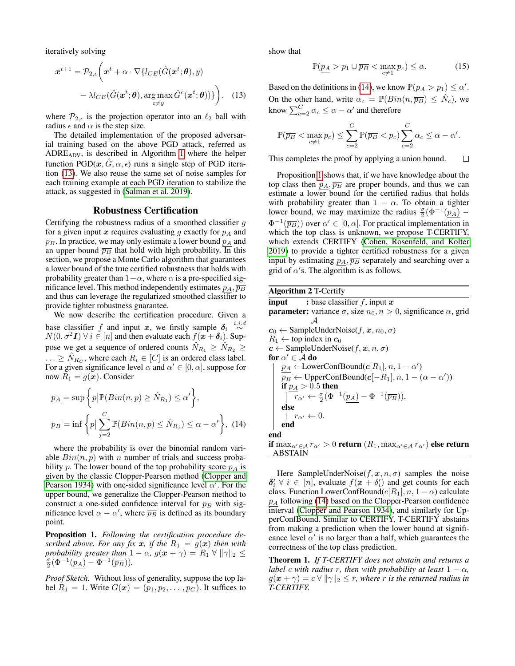iteratively solving

<span id="page-4-0"></span>
$$
\boldsymbol{x}^{t+1} = \mathcal{P}_{2,\epsilon} \bigg( \boldsymbol{x}^t + \alpha \cdot \nabla \{ l_{CE}(\hat{G}(\boldsymbol{x}^t; \boldsymbol{\theta}), y) - \lambda l_{CE}(\hat{G}(\boldsymbol{x}^t; \boldsymbol{\theta}), \arg \max_{c \neq y} \hat{G}^c(\boldsymbol{x}^t; \boldsymbol{\theta})) \} \bigg). \tag{13}
$$

where  $\mathcal{P}_{2,\epsilon}$  is the projection operator into an  $\ell_2$  ball with radius  $\epsilon$  and  $\alpha$  is the step size.

The detailed implementation of the proposed adversarial training based on the above PGD attack, referred as ADREADV, is described in Algorithm [1](#page-3-0) where the helper function  $PGD(x, G, \alpha, \epsilon)$  runs a single step of PGD iteration [\(13\)](#page-4-0). We also reuse the same set of noise samples for each training example at each PGD iteration to stabilize the attack, as suggested in [\(Salman et al. 2019\)](#page-7-8).

#### Robustness Certification

Certifying the robustness radius of a smoothed classifier  $g$ for a given input x requires evaluating g exactly for  $p_A$  and  $p_B$ . In practice, we may only estimate a lower bound  $p_A$  and an upper bound  $\overline{p}_B$  that hold with high probability. In this section, we propose a Monte Carlo algorithm that guarantees a lower bound of the true certified robustness that holds with probability greater than  $1-\alpha$ , where  $\alpha$  is a pre-specified significance level. This method independently estimates  $p_A$ ,  $\overline{p_B}$ and thus can leverage the regularized smoothed classifier to provide tighter robustness guarantee.

We now describe the certification procedure. Given a base classifier f and input x, we firstly sample  $\delta_i \stackrel{i.i.d}{\sim}$  $N(0, \sigma^2 I)$   $\forall i \in [n]$  and then evaluate each  $f(x + \delta_i)$ . Suppose we get a sequence of ordered counts  $N_{R_1} \ge N_{R_2} \ge$  $\ldots \geq \hat{N}_{R_C}$ , where each  $R_i \in [C]$  is an ordered class label. For a given significance level  $\alpha$  and  $\alpha' \in [0, \alpha]$ , suppose for now  $R_1 = g(x)$ . Consider

$$
\underline{p_A} = \sup \left\{ p \middle| \mathbb{P}(Bin(n, p) \ge \hat{N}_{R_1}) \le \alpha' \right\},
$$
\n
$$
\overline{p_B} = \inf \left\{ p \middle| \sum_{j=2}^{C} \mathbb{P}(Bin(n, p) \le \hat{N}_{R_j}) \le \alpha - \alpha' \right\}, (14)
$$

<span id="page-4-1"></span>where the probability is over the binomial random variable  $Bin(n, p)$  with n number of trials and success probability p. The lower bound of the top probability score  $p_A$  is given by the classic Clopper-Pearson method [\(Clopper and](#page-7-25) [Pearson 1934\)](#page-7-25) with one-sided significance level  $\alpha'$ . For the upper bound, we generalize the Clopper-Pearson method to construct a one-sided confidence interval for  $p_B$  with significance level  $\alpha - \alpha'$ , where  $\overline{p}_B$  is defined as its boundary point.

<span id="page-4-2"></span>Proposition 1. *Following the certification procedure described above. For any fix* x, if the  $R_1 = g(x)$  then with *probability greater than*  $1 - \alpha$ ,  $g(x + \gamma) = R_1 \forall ||\gamma||_2 \leq$  $\frac{\sigma}{2}(\Phi^{-1}(\underline{p_A}) - \Phi^{-1}(\overline{p_B})).$ 

*Proof Sketch.* Without loss of generality, suppose the top label  $R_1 = 1$ . Write  $G(\mathbf{x}) = (p_1, p_2, \dots, p_C)$ . It suffices to show that

$$
\mathbb{P}(\underline{p_A} > p_1 \cup \overline{p_B} < \max_{c \neq 1} p_c) \leq \alpha. \tag{15}
$$

Based on the definitions in [\(14\)](#page-4-1), we know  $\mathbb{P}(p_A > p_1) \leq \alpha'$ . On the other hand, write  $\alpha_c = \mathbb{P}(Bin(n, \overline{p_B}) \leq \hat{N}_c)$ , we know  $\sum_{c=2}^{C} \alpha_c \leq \alpha - \alpha'$  and therefore

$$
\mathbb{P}(\overline{p_B} < \max_{c \neq 1} p_c) \leq \sum_{c=2}^C \mathbb{P}(\overline{p_B} < p_c) \sum_{c=2}^C \alpha_c \leq \alpha - \alpha'.
$$

 $\Box$ This completes the proof by applying a union bound.

Proposition [1](#page-4-2) shows that, if we have knowledge about the top class then  $p_A$ ,  $\overline{p_B}$  are proper bounds, and thus we can estimate a lower bound for the certified radius that holds with probability greater than  $1 - \alpha$ . To obtain a tighter lower bound, we may maximize the radius  $\frac{\sigma}{2}(\Phi^{-1}(\underline{p_A}) - \Phi^{-1}(\underline{p_A})$  $\Phi^{-1}(\overline{p_B})$  over  $\alpha' \in [0, \alpha]$ . For practical implementation in which the top class is unknown, we propose T-CERTIFY, which extends CERTIFY [\(Cohen, Rosenfeld, and Kolter](#page-7-5) [2019\)](#page-7-5) to provide a tighter certified robustness for a given input by estimating  $p_A$ ,  $\overline{p_B}$  separately and searching over a grid of  $\alpha$ 's. The algorithm is as follows.

Algorithm 2 T-Certify **input** : base classifier f, input  $x$ **parameter:** variance  $\sigma$ , size  $n_0$ ,  $n > 0$ , significance  $\alpha$ , grid  $\mathcal A$  $c_0 \leftarrow$  SampleUnderNoise(f, x,  $n_0, \sigma$ )  $R_1 \leftarrow$  top index in  $c_0$  $c \leftarrow$  SampleUnderNoise(f, x, n,  $\sigma$ ) for  $\alpha' \in \mathcal{A}$  do  $p_A \leftarrow \text{LowerConfBound}(c[R_1], n, 1 - \alpha')$  $\overline{\overline{p_B}} \leftarrow$  UpperConfBound( $c[-R_1], n, 1 - (\alpha - \alpha')$ ) if  $p_A > 0.5$  then  $\overline{r}_{\alpha'} \leftarrow \frac{\sigma}{2} (\Phi^{-1}(\underline{p}_A) - \Phi^{-1}(\overline{p}_B)).$ else  $r_{\alpha'} \leftarrow 0.$ end end if  $\max_{\alpha' \in A} r_{\alpha'} > 0$  return  $(R_1, \max_{\alpha' \in A} r_{\alpha'})$  else return ABSTAIN

Here SampleUnderNoise( $f, x, n, \sigma$ ) samples the noise  $\delta_i' \ \forall \ i \in [n]$ , evaluate  $f(x + \delta_i')$  and get counts for each class. Function LowerConfBound( $c[R_1], n, 1 - \alpha$ ) calculate  $p_A$  following [\(14\)](#page-4-1) based on the Clopper-Pearson confidence interval [\(Clopper and Pearson 1934\)](#page-7-25), and similarly for UpperConfBound. Similar to CERTIFY, T-CERTIFY abstains from making a prediction when the lower bound at significance level  $\alpha'$  is no larger than a half, which guarantees the correctness of the top class prediction.

Theorem 1. *If T-CERTIFY does not abstain and returns a label* c with radius r, then with probability at least  $1 - \alpha$ *,*  $g(\boldsymbol{x} + \gamma) = c \,\forall \, \|\gamma\|_2 \leq r$ , where r is the returned radius in *T-CERTIFY.*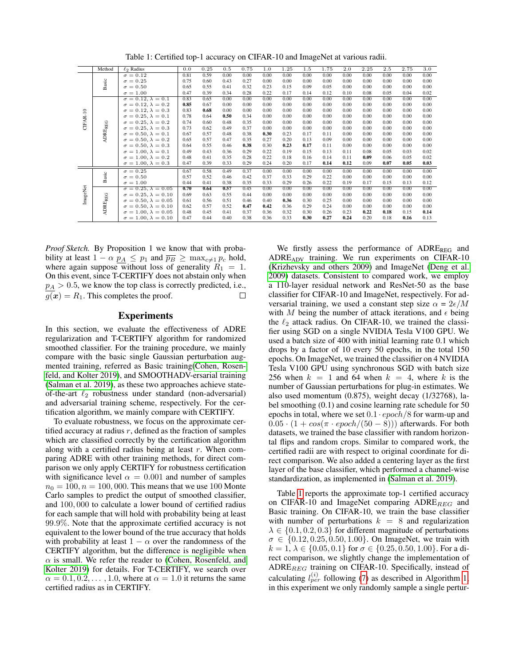|          | Method                 | $\ell_2$ Radius                           | 0.0  | 0.25 | 0.5  | 0.75 | 1.0  | 1.25 | 1.5  | 1.75 | 2.0  | 2.25 | 2.5  | 2.75 | 3.0  |
|----------|------------------------|-------------------------------------------|------|------|------|------|------|------|------|------|------|------|------|------|------|
| CIFAR-10 | Basic                  | $\sigma = 0.12$                           | 0.81 | 0.59 | 0.00 | 0.00 | 0.00 | 0.00 | 0.00 | 0.00 | 0.00 | 0.00 | 0.00 | 0.00 | 0.00 |
|          |                        | $\sigma = 0.25$                           | 0.75 | 0.60 | 0.43 | 0.27 | 0.00 | 0.00 | 0.00 | 0.00 | 0.00 | 0.00 | 0.00 | 0.00 | 0.00 |
|          |                        | $\sigma = 0.50$                           | 0.65 | 0.55 | 0.41 | 0.32 | 0.23 | 0.15 | 0.09 | 0.05 | 0.00 | 0.00 | 0.00 | 0.00 | 0.00 |
|          |                        | $\sigma = 1.00$                           | 0.47 | 0.39 | 0.34 | 0.28 | 0.22 | 0.17 | 0.14 | 0.12 | 0.10 | 0.08 | 0.05 | 0.04 | 0.02 |
|          | ADREREG                | $\sigma = \overline{0.12, \lambda = 0.1}$ | 0.83 | 0.65 | 0.00 | 0.00 | 0.00 | 0.00 | 0.00 | 0.00 | 0.00 | 0.00 | 0.00 | 0.00 | 0.00 |
|          |                        | $\sigma = 0.12, \lambda = 0.2$            | 0.85 | 0.67 | 0.00 | 0.00 | 0.00 | 0.00 | 0.00 | 0.00 | 0.00 | 0.00 | 0.00 | 0.00 | 0.00 |
|          |                        | $\sigma = 0.12, \lambda = 0.3$            | 0.83 | 0.68 | 0.00 | 0.00 | 0.00 | 0.00 | 0.00 | 0.00 | 0.00 | 0.00 | 0.00 | 0.00 | 0.00 |
|          |                        | $\sigma = 0.25, \lambda = 0.1$            | 0.78 | 0.64 | 0.50 | 0.34 | 0.00 | 0.00 | 0.00 | 0.00 | 0.00 | 0.00 | 0.00 | 0.00 | 0.00 |
|          |                        | $\sigma = 0.25, \lambda = 0.2$            | 0.74 | 0.60 | 0.48 | 0.35 | 0.00 | 0.00 | 0.00 | 0.00 | 0.00 | 0.00 | 0.00 | 0.00 | 0.00 |
|          |                        | $\sigma = 0.25, \lambda = 0.3$            | 0.73 | 0.62 | 0.49 | 0.37 | 0.00 | 0.00 | 0.00 | 0.00 | 0.00 | 0.00 | 0.00 | 0.00 | 0.00 |
|          |                        | $\sigma = 0.50, \lambda = 0.1$            | 0.67 | 0.57 | 0.48 | 0.38 | 0.30 | 0.23 | 0.17 | 0.11 | 0.00 | 0.00 | 0.00 | 0.00 | 0.00 |
|          |                        | $\sigma = 0.50, \lambda = 0.2$            | 0.65 | 0.57 | 0.47 | 0.35 | 0.27 | 0.20 | 0.13 | 0.09 | 0.00 | 0.00 | 0.00 | 0.00 | 0.00 |
|          |                        | $\sigma = 0.50, \lambda = 0.3$            | 0.64 | 0.55 | 0.46 | 0.38 | 0.30 | 0.23 | 0.17 | 0.11 | 0.00 | 0.00 | 0.00 | 0.00 | 0.00 |
|          |                        | $\sigma = 1.00, \lambda = 0.1$            | 0.49 | 0.43 | 0.36 | 0.29 | 0.22 | 0.19 | 0.15 | 0.13 | 0.11 | 0.08 | 0.05 | 0.03 | 0.02 |
|          |                        | $\sigma = 1.00, \lambda = 0.2$            | 0.48 | 0.41 | 0.35 | 0.28 | 0.22 | 0.18 | 0.16 | 0.14 | 0.11 | 0.09 | 0.06 | 0.05 | 0.02 |
|          |                        | $\sigma = 1.00, \lambda = 0.3$            | 0.47 | 0.39 | 0.33 | 0.29 | 0.24 | 0.20 | 0.17 | 0.14 | 0.12 | 0.09 | 0.07 | 0.05 | 0.03 |
| ImageNet | Basic                  | $\sigma = 0.25$                           | 0.67 | 0.58 | 0.49 | 0.37 | 0.00 | 0.00 | 0.00 | 0.00 | 0.00 | 0.00 | 0.00 | 0.00 | 0.00 |
|          |                        | $\sigma = 0.50$                           | 0.57 | 0.52 | 0.46 | 0.42 | 0.37 | 0.33 | 0.29 | 0.22 | 0.00 | 0.00 | 0.00 | 0.00 | 0.00 |
|          |                        | $\sigma = 1.00$                           | 0.44 | 0.41 | 0.38 | 0.35 | 0.33 | 0.29 | 0.26 | 0.22 | 0.19 | 0.17 | 0.15 | 0.13 | 0.12 |
|          | $\mbox{ADE}_{\rm REG}$ | $\sigma = 0.25, \lambda = 0.05$           | 0.70 | 0.64 | 0.57 | 0.45 | 0.00 | 0.00 | 0.00 | 0.00 | 0.00 | 0.00 | 0.00 | 0.00 | 0.00 |
|          |                        | $\sigma = 0.25, \lambda = 0.10$           | 0.69 | 0.63 | 0.55 | 0.44 | 0.00 | 0.00 | 0.00 | 0.00 | 0.00 | 0.00 | 0.00 | 0.00 | 0.00 |
|          |                        | $\sigma = 0.50, \lambda = 0.05$           | 0.61 | 0.56 | 0.51 | 0.46 | 0.40 | 0.36 | 0.30 | 0.25 | 0.00 | 0.00 | 0.00 | 0.00 | 0.00 |
|          |                        | $\sigma = 0.50, \lambda = 0.10$           | 0.62 | 0.57 | 0.52 | 0.47 | 0.42 | 0.36 | 0.29 | 0.24 | 0.00 | 0.00 | 0.00 | 0.00 | 0.00 |
|          |                        | $\sigma = 1.00, \lambda = 0.05$           | 0.48 | 0.45 | 0.41 | 0.37 | 0.36 | 0.32 | 0.30 | 0.26 | 0.23 | 0.22 | 0.18 | 0.15 | 0.14 |
|          |                        | $\sigma = 1.00, \lambda = 0.10$           | 0.47 | 0.44 | 0.40 | 0.38 | 0.36 | 0.33 | 0.30 | 0.27 | 0.24 | 0.20 | 0.18 | 0.16 | 0.13 |

<span id="page-5-0"></span>Table 1: Certified top-1 accuracy on CIFAR-10 and ImageNet at various radii.

*Proof Sketch.* By Proposition 1 we know that with probability at least  $1 - \alpha p_A \leq p_1$  and  $\overline{p_B} \geq \max_{c \neq 1} p_c$  hold, where again suppose without loss of generality  $R_1 = 1$ . On this event, since T-CERTIFY does not abstain only when  $p_A > 0.5$ , we know the top class is correctly predicted, i.e.,  $g(x) = R_1$ . This completes the proof.  $\Box$ 

### **Experiments**

In this section, we evaluate the effectiveness of ADRE regularization and T-CERTIFY algorithm for randomized smoothed classifier. For the training procedure, we mainly compare with the basic single Gaussian perturbation augmented training, referred as Basic training[\(Cohen, Rosen](#page-7-5)[feld, and Kolter 2019\)](#page-7-5), and SMOOTHADV-ersarial training [\(Salman et al. 2019\)](#page-7-8), as these two approaches achieve stateof-the-art  $\ell_2$  robustness under standard (non-adversarial) and adversarial training scheme, respectively. For the certification algorithm, we mainly compare with CERTIFY.

To evaluate robustness, we focus on the approximate certified accuracy at radius  $r$ , defined as the fraction of samples which are classified correctly by the certification algorithm along with a certified radius being at least  $r$ . When comparing ADRE with other training methods, for direct comparison we only apply CERTIFY for robustness certification with significance level  $\alpha = 0.001$  and number of samples  $n_0 = 100, n = 100, 000$ . This means that we use 100 Monte Carlo samples to predict the output of smoothed classifier, and 100, 000 to calculate a lower bound of certified radius for each sample that will hold with probability being at least 99.9%. Note that the approximate certified accuracy is not equivalent to the lower bound of the true accuracy that holds with probability at least  $1 - \alpha$  over the randomness of the CERTIFY algorithm, but the difference is negligible when  $\alpha$  is small. We refer the reader to [\(Cohen, Rosenfeld, and](#page-7-5) [Kolter 2019\)](#page-7-5) for details. For T-CERTIFY, we search over  $\alpha = 0.1, 0.2, \dots, 1.0$ , where at  $\alpha = 1.0$  it returns the same certified radius as in CERTIFY.

We firstly assess the performance of ADRE<sub>REG</sub> and ADREADV training. We run experiments on CIFAR-10 [\(Krizhevsky and others 2009\)](#page-7-26) and ImageNet [\(Deng et al.](#page-7-27) [2009\)](#page-7-27) datasets. Consistent to compared work, we employ a 110-layer residual network and ResNet-50 as the base classifier for CIFAR-10 and ImageNet, respectively. For adversarial training, we used a constant step size  $\alpha = 2\epsilon/M$ with M being the number of attack iterations, and  $\epsilon$  being the  $\ell_2$  attack radius. On CIFAR-10, we trained the classifier using SGD on a single NVIDIA Tesla V100 GPU. We used a batch size of 400 with initial learning rate 0.1 which drops by a factor of 10 every 50 epochs, in the total 150 epochs. On ImageNet, we trained the classifier on 4 NVIDIA Tesla V100 GPU using synchronous SGD with batch size 256 when  $k = 1$  and 64 when  $k = 4$ , where k is the number of Gaussian perturbations for plug-in estimates. We also used momentum (0.875), weight decay (1/32768), label smoothing (0.1) and cosine learning rate schedule for 50 epochs in total, where we set  $0.1 \cdot epoch/8$  for warm-up and  $(0.05 \cdot (1 + \cos(\pi \cdot epoch/(50 - 8)))$  afterwards. For both datasets, we trained the base classifier with random horizontal flips and random crops. Similar to compared work, the certified radii are with respect to original coordinate for direct comparison. We also added a centering layer as the first layer of the base classifier, which performed a channel-wise standardization, as implemented in [\(Salman et al. 2019\)](#page-7-8).

Table [1](#page-5-0) reports the approximate top-1 certified accuracy on CIFAR-10 and ImageNet comparing  $ADRE_{REG}$  and Basic training. On CIFAR-10, we train the base classifier with number of perturbations  $k = 8$  and regularization  $\lambda \in \{0.1, 0.2, 0.3\}$  for different magnitude of perturbations  $\sigma \in \{0.12, 0.25, 0.50, 1.00\}$ . On ImageNet, we train with  $k = 1, \lambda \in \{0.05, 0.1\}$  for  $\sigma \in \{0.25, 0.50, 1.00\}$ . For a direct comparison, we slightly change the implementation of  $\text{ADRE}_{REG}$  training on CIFAR-10. Specifically, instead of calculating  $l_{per}^{(i)}$  following [\(7\)](#page-2-5) as described in Algorithm [1,](#page-3-0) in this experiment we only randomly sample a single pertur-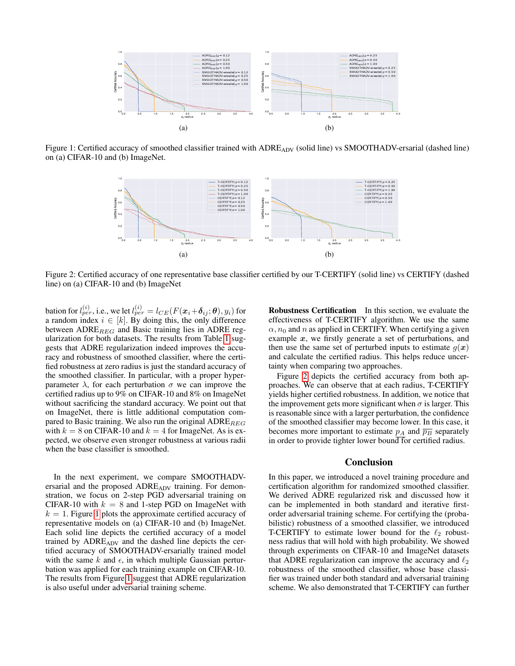

<span id="page-6-0"></span>Figure 1: Certified accuracy of smoothed classifier trained with ADREADV (solid line) vs SMOOTHADV-ersarial (dashed line) on (a) CIFAR-10 and (b) ImageNet.



<span id="page-6-1"></span>Figure 2: Certified accuracy of one representative base classifier certified by our T-CERTIFY (solid line) vs CERTIFY (dashed line) on (a) CIFAR-10 and (b) ImageNet

bation for  $l_{per}^{(i)}$ , i.e., we let  $l_{per}^{(i)}=l_{CE}(F(\boldsymbol{x}_{i}\!+\!\boldsymbol{\delta}_{ij};\boldsymbol{\theta}),y_{i})$  for a random index  $i \in [k]$ . By doing this, the only difference between  $\text{ADRE}_{REG}$  and Basic training lies in ADRE regularization for both datasets. The results from Table [1](#page-5-0) suggests that ADRE regularization indeed improves the accuracy and robustness of smoothed classifier, where the certified robustness at zero radius is just the standard accuracy of the smoothed classifier. In particular, with a proper hyperparameter  $\lambda$ , for each perturbation  $\sigma$  we can improve the certified radius up to 9% on CIFAR-10 and 8% on ImageNet without sacrificing the standard accuracy. We point out that on ImageNet, there is little additional computation compared to Basic training. We also run the original  $ADRE_{REG}$ with  $k = 8$  on CIFAR-10 and  $k = 4$  for ImageNet. As is expected, we observe even stronger robustness at various radii when the base classifier is smoothed.

In the next experiment, we compare SMOOTHADVersarial and the proposed  $\triangle DRE_{ADV}$  training. For demonstration, we focus on 2-step PGD adversarial training on CIFAR-10 with  $k = 8$  and 1-step PGD on ImageNet with  $k = 1$  $k = 1$ . Figure 1 plots the approximate certified accuracy of representative models on (a) CIFAR-10 and (b) ImageNet. Each solid line depicts the certified accuracy of a model trained by  $\triangle DRE_{\triangle D}$  and the dashed line depicts the certified accuracy of SMOOTHADV-ersarially trained model with the same k and  $\epsilon$ , in which multiple Gaussian perturbation was applied for each training example on CIFAR-10. The results from Figure [1](#page-6-0) suggest that ADRE regularization is also useful under adversarial training scheme.

Robustness Certification In this section, we evaluate the effectiveness of T-CERTIFY algorithm. We use the same  $\alpha$ ,  $n_0$  and n as applied in CERTIFY. When certifying a given example  $x$ , we firstly generate a set of perturbations, and then use the same set of perturbed inputs to estimate  $g(x)$ and calculate the certified radius. This helps reduce uncertainty when comparing two approaches.

Figure [2](#page-6-1) depicts the certified accuracy from both approaches. We can observe that at each radius, T-CERTIFY yields higher certified robustness. In addition, we notice that the improvement gets more significant when  $\sigma$  is larger. This is reasonable since with a larger perturbation, the confidence of the smoothed classifier may become lower. In this case, it becomes more important to estimate  $p_A$  and  $\overline{p_B}$  separately in order to provide tighter lower bound for certified radius.

## Conclusion

In this paper, we introduced a novel training procedure and certification algorithm for randomized smoothed classifier. We derived ADRE regularized risk and discussed how it can be implemented in both standard and iterative firstorder adversarial training scheme. For certifying the (probabilistic) robustness of a smoothed classifier, we introduced T-CERTIFY to estimate lower bound for the  $\ell_2$  robustness radius that will hold with high probability. We showed through experiments on CIFAR-10 and ImageNet datasets that ADRE regularization can improve the accuracy and  $\ell_2$ robustness of the smoothed classifier, whose base classifier was trained under both standard and adversarial training scheme. We also demonstrated that T-CERTIFY can further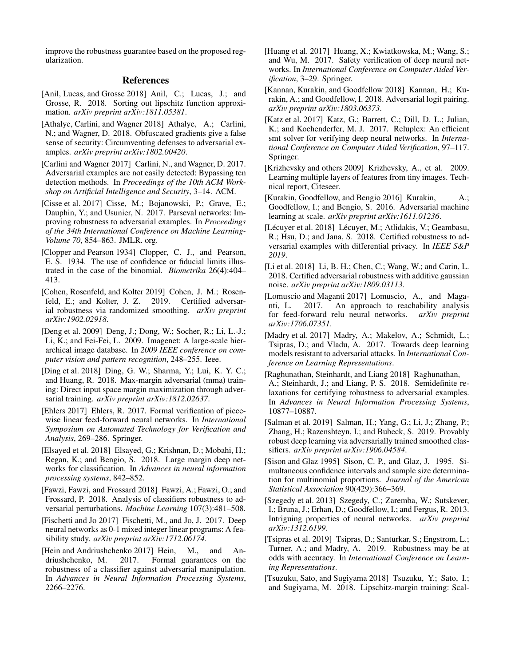improve the robustness guarantee based on the proposed regularization.

## References

- <span id="page-7-17"></span>[Anil, Lucas, and Grosse 2018] Anil, C.; Lucas, J.; and Grosse, R. 2018. Sorting out lipschitz function approximation. *arXiv preprint arXiv:1811.05381*.
- <span id="page-7-2"></span>[Athalye, Carlini, and Wagner 2018] Athalye, A.; Carlini, N.; and Wagner, D. 2018. Obfuscated gradients give a false sense of security: Circumventing defenses to adversarial examples. *arXiv preprint arXiv:1802.00420*.
- <span id="page-7-1"></span>[Carlini and Wagner 2017] Carlini, N., and Wagner, D. 2017. Adversarial examples are not easily detected: Bypassing ten detection methods. In *Proceedings of the 10th ACM Workshop on Artificial Intelligence and Security*, 3–14. ACM.
- <span id="page-7-15"></span>[Cisse et al. 2017] Cisse, M.; Bojanowski, P.; Grave, E.; Dauphin, Y.; and Usunier, N. 2017. Parseval networks: Improving robustness to adversarial examples. In *Proceedings of the 34th International Conference on Machine Learning-Volume 70*, 854–863. JMLR. org.
- <span id="page-7-25"></span>[Clopper and Pearson 1934] Clopper, C. J., and Pearson, E. S. 1934. The use of confidence or fiducial limits illustrated in the case of the binomial. *Biometrika* 26(4):404– 413.
- <span id="page-7-5"></span>[Cohen, Rosenfeld, and Kolter 2019] Cohen, J. M.; Rosenfeld, E.; and Kolter, J. Z. 2019. Certified adversarial robustness via randomized smoothing. *arXiv preprint arXiv:1902.02918*.
- <span id="page-7-27"></span>[Deng et al. 2009] Deng, J.; Dong, W.; Socher, R.; Li, L.-J.; Li, K.; and Fei-Fei, L. 2009. Imagenet: A large-scale hierarchical image database. In *2009 IEEE conference on computer vision and pattern recognition*, 248–255. Ieee.
- <span id="page-7-23"></span>[Ding et al. 2018] Ding, G. W.; Sharma, Y.; Lui, K. Y. C.; and Huang, R. 2018. Max-margin adversarial (mma) training: Direct input space margin maximization through adversarial training. *arXiv preprint arXiv:1812.02637*.
- <span id="page-7-12"></span>[Ehlers 2017] Ehlers, R. 2017. Formal verification of piecewise linear feed-forward neural networks. In *International Symposium on Automated Technology for Verification and Analysis*, 269–286. Springer.
- <span id="page-7-24"></span>[Elsayed et al. 2018] Elsayed, G.; Krishnan, D.; Mobahi, H.; Regan, K.; and Bengio, S. 2018. Large margin deep networks for classification. In *Advances in neural information processing systems*, 842–852.
- <span id="page-7-20"></span>[Fawzi, Fawzi, and Frossard 2018] Fawzi, A.; Fawzi, O.; and Frossard, P. 2018. Analysis of classifiers robustness to adversarial perturbations. *Machine Learning* 107(3):481–508.
- <span id="page-7-10"></span>[Fischetti and Jo 2017] Fischetti, M., and Jo, J. 2017. Deep neural networks as 0-1 mixed integer linear programs: A feasibility study. *arXiv preprint arXiv:1712.06174*.
- <span id="page-7-14"></span>[Hein and Andriushchenko 2017] Hein, M., and Andriushchenko, M. 2017. Formal guarantees on the robustness of a classifier against adversarial manipulation. In *Advances in Neural Information Processing Systems*, 2266–2276.
- <span id="page-7-13"></span>[Huang et al. 2017] Huang, X.; Kwiatkowska, M.; Wang, S.; and Wu, M. 2017. Safety verification of deep neural networks. In *International Conference on Computer Aided Verification*, 3–29. Springer.
- <span id="page-7-22"></span>[Kannan, Kurakin, and Goodfellow 2018] Kannan, H.; Kurakin, A.; and Goodfellow, I. 2018. Adversarial logit pairing. *arXiv preprint arXiv:1803.06373*.
- <span id="page-7-11"></span>[Katz et al. 2017] Katz, G.; Barrett, C.; Dill, D. L.; Julian, K.; and Kochenderfer, M. J. 2017. Reluplex: An efficient smt solver for verifying deep neural networks. In *International Conference on Computer Aided Verification*, 97–117. Springer.
- <span id="page-7-26"></span>[Krizhevsky and others 2009] Krizhevsky, A., et al. 2009. Learning multiple layers of features from tiny images. Technical report, Citeseer.
- <span id="page-7-6"></span>[Kurakin, Goodfellow, and Bengio 2016] Kurakin, A.; Goodfellow, I.; and Bengio, S. 2016. Adversarial machine learning at scale. *arXiv preprint arXiv:1611.01236*.
- <span id="page-7-3"></span>[Lécuyer et al. 2018] Lécuyer, M.; Atlidakis, V.; Geambasu, R.; Hsu, D.; and Jana, S. 2018. Certified robustness to adversarial examples with differential privacy. In *IEEE S&P 2019*.
- <span id="page-7-4"></span>[Li et al. 2018] Li, B. H.; Chen, C.; Wang, W.; and Carin, L. 2018. Certified adversarial robustness with additive gaussian noise. *arXiv preprint arXiv:1809.03113*.
- <span id="page-7-9"></span>[Lomuscio and Maganti 2017] Lomuscio, A., and Maganti, L. 2017. An approach to reachability analysis for feed-forward relu neural networks. *arXiv preprint arXiv:1706.07351*.
- <span id="page-7-7"></span>[Madry et al. 2017] Madry, A.; Makelov, A.; Schmidt, L.; Tsipras, D.; and Vladu, A. 2017. Towards deep learning models resistant to adversarial attacks. In *International Conference on Learning Representations*.
- <span id="page-7-18"></span>[Raghunathan, Steinhardt, and Liang 2018] Raghunathan, A.; Steinhardt, J.; and Liang, P. S. 2018. Semidefinite relaxations for certifying robustness to adversarial examples. In *Advances in Neural Information Processing Systems*, 10877–10887.
- <span id="page-7-8"></span>[Salman et al. 2019] Salman, H.; Yang, G.; Li, J.; Zhang, P.; Zhang, H.; Razenshteyn, I.; and Bubeck, S. 2019. Provably robust deep learning via adversarially trained smoothed classifiers. *arXiv preprint arXiv:1906.04584*.
- <span id="page-7-19"></span>[Sison and Glaz 1995] Sison, C. P., and Glaz, J. 1995. Simultaneous confidence intervals and sample size determination for multinomial proportions. *Journal of the American Statistical Association* 90(429):366–369.
- <span id="page-7-0"></span>[Szegedy et al. 2013] Szegedy, C.; Zaremba, W.; Sutskever, I.; Bruna, J.; Erhan, D.; Goodfellow, I.; and Fergus, R. 2013. Intriguing properties of neural networks. *arXiv preprint arXiv:1312.6199*.
- <span id="page-7-21"></span>[Tsipras et al. 2019] Tsipras, D.; Santurkar, S.; Engstrom, L.; Turner, A.; and Madry, A. 2019. Robustness may be at odds with accuracy. In *International Conference on Learning Representations*.
- <span id="page-7-16"></span>[Tsuzuku, Sato, and Sugiyama 2018] Tsuzuku, Y.; Sato, I.; and Sugiyama, M. 2018. Lipschitz-margin training: Scal-